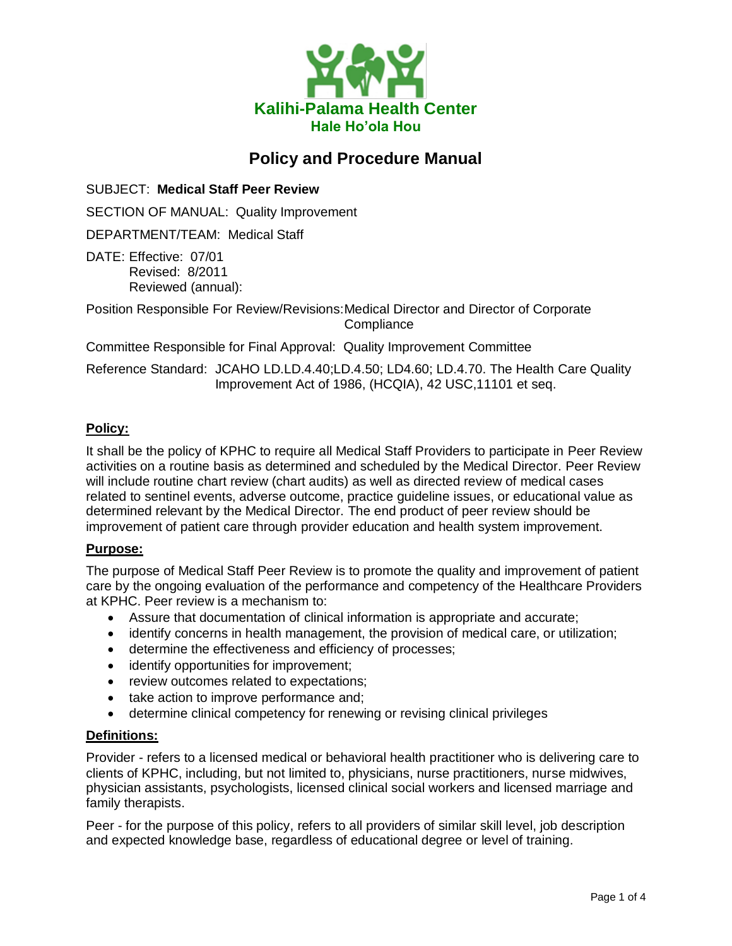

# **Policy and Procedure Manual**

SUBJECT: **Medical Staff Peer Review**

SECTION OF MANUAL: Quality Improvement

DEPARTMENT/TEAM: Medical Staff

DATE: Effective: 07/01 Revised: 8/2011 Reviewed (annual):

Position Responsible For Review/Revisions:Medical Director and Director of Corporate **Compliance** 

Committee Responsible for Final Approval: Quality Improvement Committee

Reference Standard: JCAHO LD.LD.4.40;LD.4.50; LD4.60; LD.4.70. The Health Care Quality Improvement Act of 1986, (HCQIA), 42 USC,11101 et seq.

## **Policy:**

It shall be the policy of KPHC to require all Medical Staff Providers to participate in Peer Review activities on a routine basis as determined and scheduled by the Medical Director. Peer Review will include routine chart review (chart audits) as well as directed review of medical cases related to sentinel events, adverse outcome, practice guideline issues, or educational value as determined relevant by the Medical Director. The end product of peer review should be improvement of patient care through provider education and health system improvement.

## **Purpose:**

The purpose of Medical Staff Peer Review is to promote the quality and improvement of patient care by the ongoing evaluation of the performance and competency of the Healthcare Providers at KPHC. Peer review is a mechanism to:

- Assure that documentation of clinical information is appropriate and accurate;
- identify concerns in health management, the provision of medical care, or utilization;
- determine the effectiveness and efficiency of processes;
- identify opportunities for improvement;
- review outcomes related to expectations;
- take action to improve performance and;
- determine clinical competency for renewing or revising clinical privileges

#### **Definitions:**

Provider - refers to a licensed medical or behavioral health practitioner who is delivering care to clients of KPHC, including, but not limited to, physicians, nurse practitioners, nurse midwives, physician assistants, psychologists, licensed clinical social workers and licensed marriage and family therapists.

Peer - for the purpose of this policy, refers to all providers of similar skill level, job description and expected knowledge base, regardless of educational degree or level of training.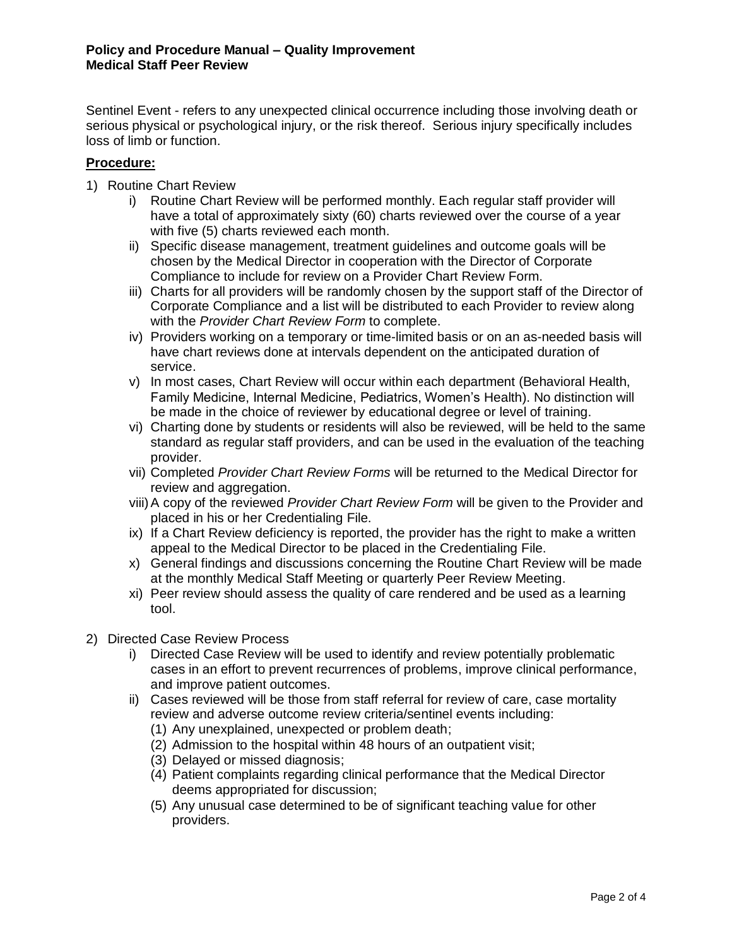Sentinel Event - refers to any unexpected clinical occurrence including those involving death or serious physical or psychological injury, or the risk thereof. Serious injury specifically includes loss of limb or function.

## **Procedure:**

- 1) Routine Chart Review
	- i) Routine Chart Review will be performed monthly. Each regular staff provider will have a total of approximately sixty (60) charts reviewed over the course of a year with five (5) charts reviewed each month.
	- ii) Specific disease management, treatment guidelines and outcome goals will be chosen by the Medical Director in cooperation with the Director of Corporate Compliance to include for review on a Provider Chart Review Form.
	- iii) Charts for all providers will be randomly chosen by the support staff of the Director of Corporate Compliance and a list will be distributed to each Provider to review along with the *Provider Chart Review Form* to complete.
	- iv) Providers working on a temporary or time-limited basis or on an as-needed basis will have chart reviews done at intervals dependent on the anticipated duration of service.
	- v) In most cases, Chart Review will occur within each department (Behavioral Health, Family Medicine, Internal Medicine, Pediatrics, Women's Health). No distinction will be made in the choice of reviewer by educational degree or level of training.
	- vi) Charting done by students or residents will also be reviewed, will be held to the same standard as regular staff providers, and can be used in the evaluation of the teaching provider.
	- vii) Completed *Provider Chart Review Forms* will be returned to the Medical Director for review and aggregation.
	- viii)A copy of the reviewed *Provider Chart Review Form* will be given to the Provider and placed in his or her Credentialing File.
	- ix) If a Chart Review deficiency is reported, the provider has the right to make a written appeal to the Medical Director to be placed in the Credentialing File.
	- x) General findings and discussions concerning the Routine Chart Review will be made at the monthly Medical Staff Meeting or quarterly Peer Review Meeting.
	- xi) Peer review should assess the quality of care rendered and be used as a learning tool.
- 2) Directed Case Review Process
	- i) Directed Case Review will be used to identify and review potentially problematic cases in an effort to prevent recurrences of problems, improve clinical performance, and improve patient outcomes.
	- ii) Cases reviewed will be those from staff referral for review of care, case mortality review and adverse outcome review criteria/sentinel events including:
		- (1) Any unexplained, unexpected or problem death;
		- (2) Admission to the hospital within 48 hours of an outpatient visit;
		- (3) Delayed or missed diagnosis;
		- (4) Patient complaints regarding clinical performance that the Medical Director deems appropriated for discussion;
		- (5) Any unusual case determined to be of significant teaching value for other providers.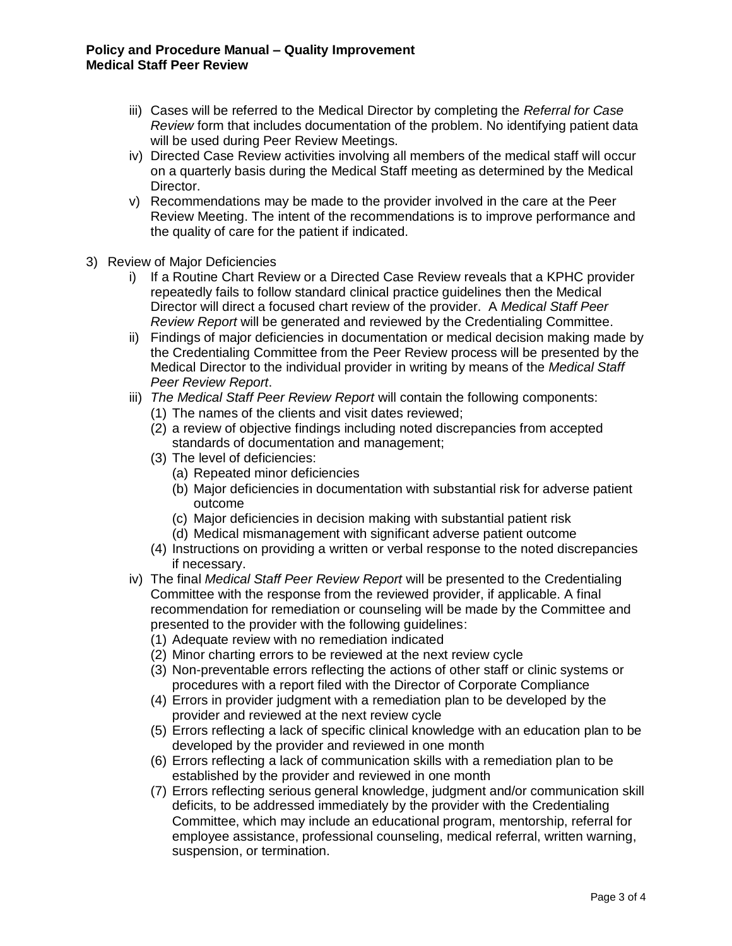- iii) Cases will be referred to the Medical Director by completing the *Referral for Case Review* form that includes documentation of the problem. No identifying patient data will be used during Peer Review Meetings.
- iv) Directed Case Review activities involving all members of the medical staff will occur on a quarterly basis during the Medical Staff meeting as determined by the Medical Director.
- v) Recommendations may be made to the provider involved in the care at the Peer Review Meeting. The intent of the recommendations is to improve performance and the quality of care for the patient if indicated.
- 3) Review of Major Deficiencies
	- i) If a Routine Chart Review or a Directed Case Review reveals that a KPHC provider repeatedly fails to follow standard clinical practice guidelines then the Medical Director will direct a focused chart review of the provider. A *Medical Staff Peer Review Report* will be generated and reviewed by the Credentialing Committee.
	- ii) Findings of major deficiencies in documentation or medical decision making made by the Credentialing Committee from the Peer Review process will be presented by the Medical Director to the individual provider in writing by means of the *Medical Staff Peer Review Report*.
	- iii) *The Medical Staff Peer Review Report* will contain the following components:
		- (1) The names of the clients and visit dates reviewed;
		- (2) a review of objective findings including noted discrepancies from accepted standards of documentation and management;
		- (3) The level of deficiencies:
			- (a) Repeated minor deficiencies
			- (b) Major deficiencies in documentation with substantial risk for adverse patient outcome
			- (c) Major deficiencies in decision making with substantial patient risk
			- (d) Medical mismanagement with significant adverse patient outcome
		- (4) Instructions on providing a written or verbal response to the noted discrepancies if necessary.
	- iv) The final *Medical Staff Peer Review Report* will be presented to the Credentialing Committee with the response from the reviewed provider, if applicable. A final recommendation for remediation or counseling will be made by the Committee and presented to the provider with the following guidelines:
		- (1) Adequate review with no remediation indicated
		- (2) Minor charting errors to be reviewed at the next review cycle
		- (3) Non-preventable errors reflecting the actions of other staff or clinic systems or procedures with a report filed with the Director of Corporate Compliance
		- (4) Errors in provider judgment with a remediation plan to be developed by the provider and reviewed at the next review cycle
		- (5) Errors reflecting a lack of specific clinical knowledge with an education plan to be developed by the provider and reviewed in one month
		- (6) Errors reflecting a lack of communication skills with a remediation plan to be established by the provider and reviewed in one month
		- (7) Errors reflecting serious general knowledge, judgment and/or communication skill deficits, to be addressed immediately by the provider with the Credentialing Committee, which may include an educational program, mentorship, referral for employee assistance, professional counseling, medical referral, written warning, suspension, or termination.